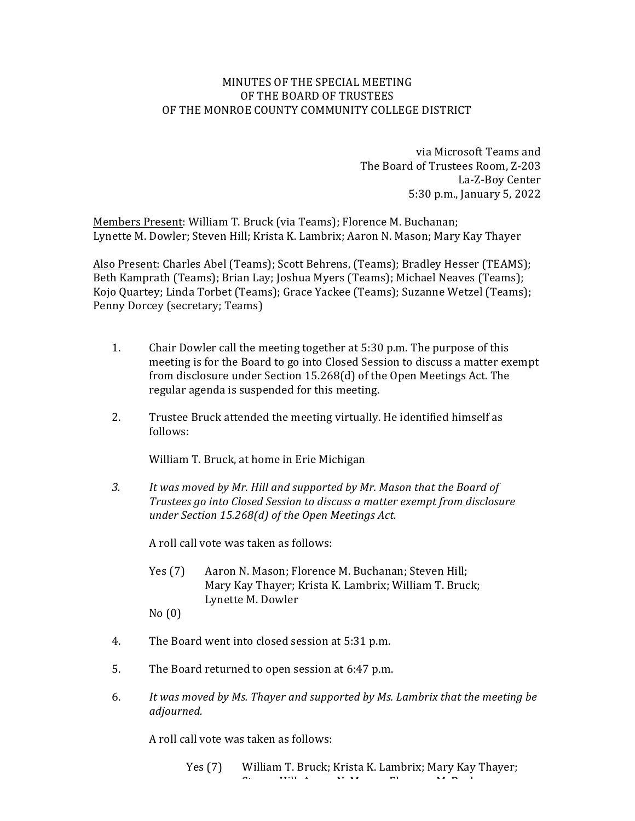## MINUTES OF THE SPECIAL MEETING OF THE BOARD OF TRUSTEES OF THE MONROE COUNTY COMMUNITY COLLEGE DISTRICT

via Microsoft Teams and The Board of Trustees Room, Z-203 La-Z-Boy Center 5:30 p.m., January 5, 2022

Members Present: William T. Bruck (via Teams); Florence M. Buchanan; Lynette M. Dowler; Steven Hill; Krista K. Lambrix; Aaron N. Mason; Mary Kay Thayer

Also Present: Charles Abel (Teams); Scott Behrens, (Teams); Bradley Hesser (TEAMS); Beth Kamprath (Teams); Brian Lay; Joshua Myers (Teams); Michael Neaves (Teams); Kojo Quartey; Linda Torbet (Teams); Grace Yackee (Teams); Suzanne Wetzel (Teams); Penny Dorcey (secretary; Teams)

- 1. Chair Dowler call the meeting together at 5:30 p.m. The purpose of this meeting is for the Board to go into Closed Session to discuss a matter exempt from disclosure under Section 15.268(d) of the Open Meetings Act. The regular agenda is suspended for this meeting.
- 2. Trustee Bruck attended the meeting virtually. He identified himself as follows:

William T. Bruck, at home in Erie Michigan

3. It was moved by Mr. Hill and supported by Mr. Mason that the Board of *Trustees go into Closed Session to discuss a matter exempt from disclosure under Section 15.268(d) of the Open Meetings Act.*

A roll call vote was taken as follows:

Yes (7) Aaron N. Mason; Florence M. Buchanan; Steven Hill; Mary Kay Thayer; Krista K. Lambrix; William T. Bruck; Lynette M. Dowler

 $No(0)$ 

- 4. The Board went into closed session at 5:31 p.m.
- 5. The Board returned to open session at 6:47 p.m.
- 6. It was moved by Ms. Thayer and supported by Ms. Lambrix that the meeting be *adjourned.*

A roll call vote was taken as follows: